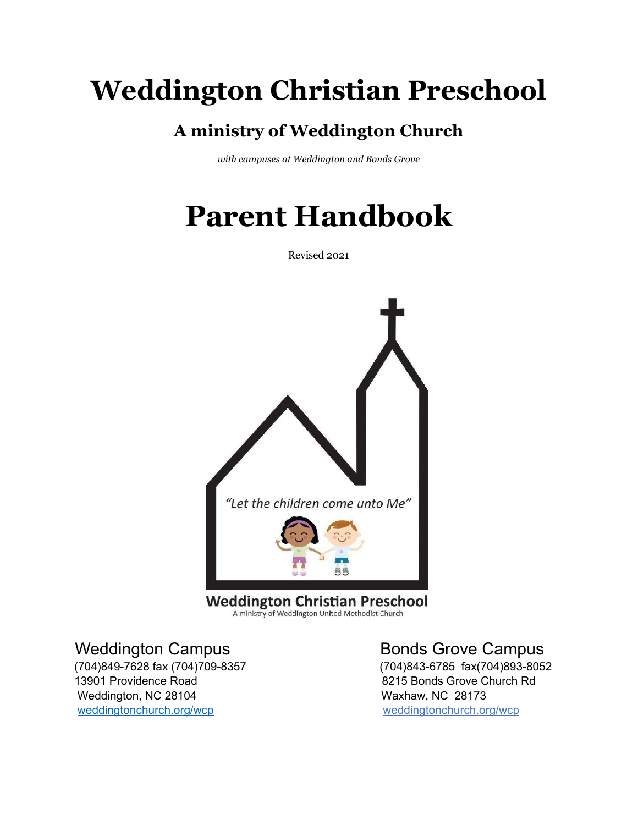# **Weddington Christian Preschool**

## **A ministry of Weddington Church**

*with campuses at Weddington and Bonds Grove*

# **Parent Handbook**

Revised 2021



A ministry of Weddington United Methodist Church

13901 Providence Road **8215 Bonds Grove Church Rd** Weddington, NC 28104 Waxhaw, NC 28173 [weddingtonchurch.org/wcp](http://www.weddingtonchurch.org/wcp) weddingtonchurch.org/wcp

### Weddington Campus **Bonds** Grove Campus

(704)849-7628 fax (704)709-8357 (704)843-6785 fax(704)893-8052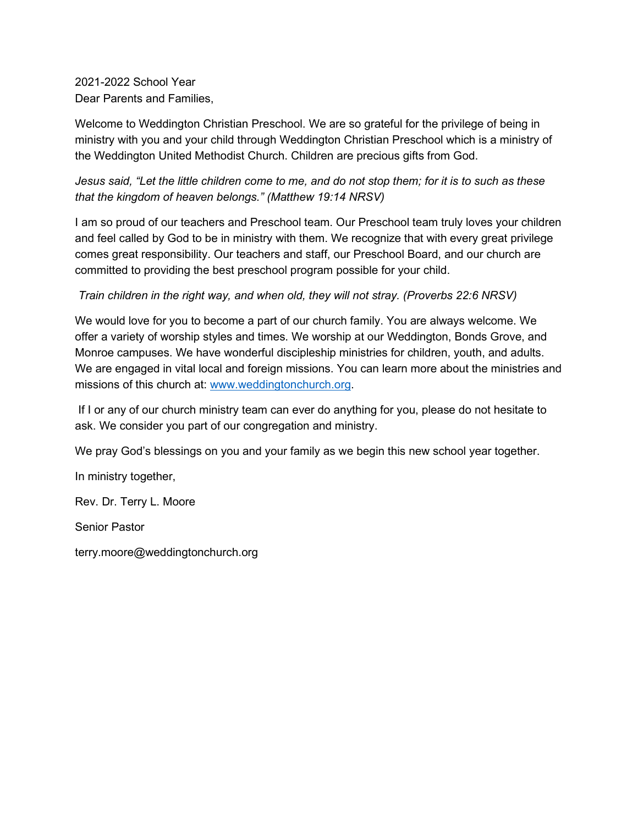2021-2022 School Year Dear Parents and Families,

Welcome to Weddington Christian Preschool. We are so grateful for the privilege of being in ministry with you and your child through Weddington Christian Preschool which is a ministry of the Weddington United Methodist Church. Children are precious gifts from God.

*Jesus said, "Let the little children come to me, and do not stop them; for it is to such as these that the kingdom of heaven belongs." (Matthew 19:14 NRSV)*

I am so proud of our teachers and Preschool team. Our Preschool team truly loves your children and feel called by God to be in ministry with them. We recognize that with every great privilege comes great responsibility. Our teachers and staff, our Preschool Board, and our church are committed to providing the best preschool program possible for your child.

*Train children in the right way, and when old, they will not stray. (Proverbs 22:6 NRSV)*

We would love for you to become a part of our church family. You are always welcome. We offer a variety of worship styles and times. We worship at our Weddington, Bonds Grove, and Monroe campuses. We have wonderful discipleship ministries for children, youth, and adults. We are engaged in vital local and foreign missions. You can learn more about the ministries and missions of this church at: [www.weddingtonchurch.org.](http://www.weddingtonchurch.org/)

If I or any of our church ministry team can ever do anything for you, please do not hesitate to ask. We consider you part of our congregation and ministry.

We pray God's blessings on you and your family as we begin this new school year together.

In ministry together,

Rev. Dr. Terry L. Moore

Senior Pastor

terry.moore@weddingtonchurch.org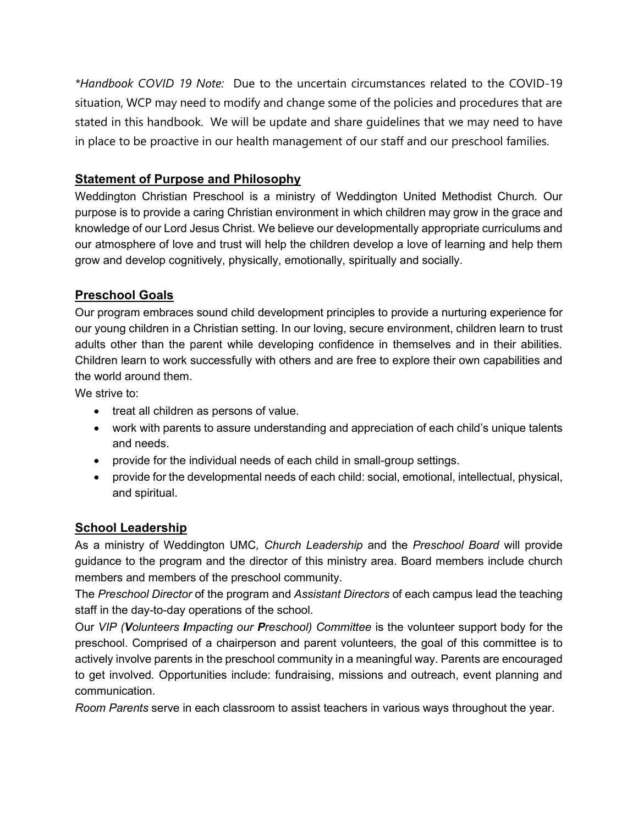*\*Handbook COVID 19 Note:* Due to the uncertain circumstances related to the COVID-19 situation, WCP may need to modify and change some of the policies and procedures that are stated in this handbook. We will be update and share guidelines that we may need to have in place to be proactive in our health management of our staff and our preschool families.

#### **Statement of Purpose and Philosophy**

Weddington Christian Preschool is a ministry of Weddington United Methodist Church. Our purpose is to provide a caring Christian environment in which children may grow in the grace and knowledge of our Lord Jesus Christ. We believe our developmentally appropriate curriculums and our atmosphere of love and trust will help the children develop a love of learning and help them grow and develop cognitively, physically, emotionally, spiritually and socially.

### **Preschool Goals**

Our program embraces sound child development principles to provide a nurturing experience for our young children in a Christian setting. In our loving, secure environment, children learn to trust adults other than the parent while developing confidence in themselves and in their abilities. Children learn to work successfully with others and are free to explore their own capabilities and the world around them.

We strive to:

- treat all children as persons of value.
- work with parents to assure understanding and appreciation of each child's unique talents and needs.
- provide for the individual needs of each child in small-group settings.
- provide for the developmental needs of each child: social, emotional, intellectual, physical, and spiritual.

#### **School Leadership**

As a ministry of Weddington UMC*, Church Leadership* and the *Preschool Board* will provide guidance to the program and the director of this ministry area. Board members include church members and members of the preschool community.

The *Preschool Director* of the program and *Assistant Directors* of each campus lead the teaching staff in the day-to-day operations of the school.

Our *VIP (Volunteers Impacting our Preschool) Committee* is the volunteer support body for the preschool. Comprised of a chairperson and parent volunteers, the goal of this committee is to actively involve parents in the preschool community in a meaningful way. Parents are encouraged to get involved. Opportunities include: fundraising, missions and outreach, event planning and communication.

*Room Parents* serve in each classroom to assist teachers in various ways throughout the year.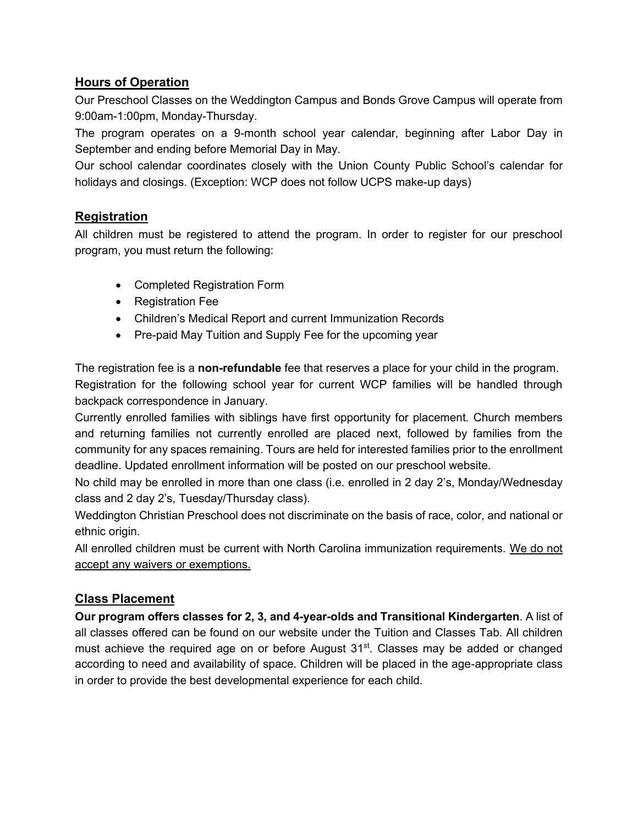#### **Hours of Operation**

Our Preschool Classes on the Weddington Campus and Bonds Grove Campus will operate from 9:00am-1:00pm, Monday-Thursday.

The program operates on a 9-month school year calendar, beginning after Labor Day in September and ending before Memorial Day in May.

Our school calendar coordinates closely with the Union County Public School's calendar for holidays and closings. (Exception: WCP does not follow UCPS make-up days)

#### **Registration**

All children must be registered to attend the program. In order to register for our preschool program, you must return the following:

- Completed Registration Form
- Registration Fee
- Children's Medical Report and current Immunization Records
- Pre-paid May Tuition and Supply Fee for the upcoming year

The registration fee is a **non-refundable** fee that reserves a place for your child in the program. Registration for the following school year for current WCP families will be handled through backpack correspondence in January.

Currently enrolled families with siblings have first opportunity for placement. Church members and returning families not currently enrolled are placed next, followed by families from the community for any spaces remaining. Tours are held for interested families prior to the enrollment deadline. Updated enrollment information will be posted on our preschool website.

No child may be enrolled in more than one class (i.e. enrolled in 2 day 2's, Monday/Wednesday class and 2 day 2's, Tuesday/Thursday class).

Weddington Christian Preschool does not discriminate on the basis of race, color, and national or ethnic origin.

All enrolled children must be current with North Carolina immunization requirements. We do not accept any waivers or exemptions.

#### **Class Placement**

**Our program offers classes for 2, 3, and 4-year-olds and Transitional Kindergarten**. A list of all classes offered can be found on our website under the Tuition and Classes Tab. All children must achieve the required age on or before August  $31<sup>st</sup>$ . Classes may be added or changed according to need and availability of space. Children will be placed in the age-appropriate class in order to provide the best developmental experience for each child.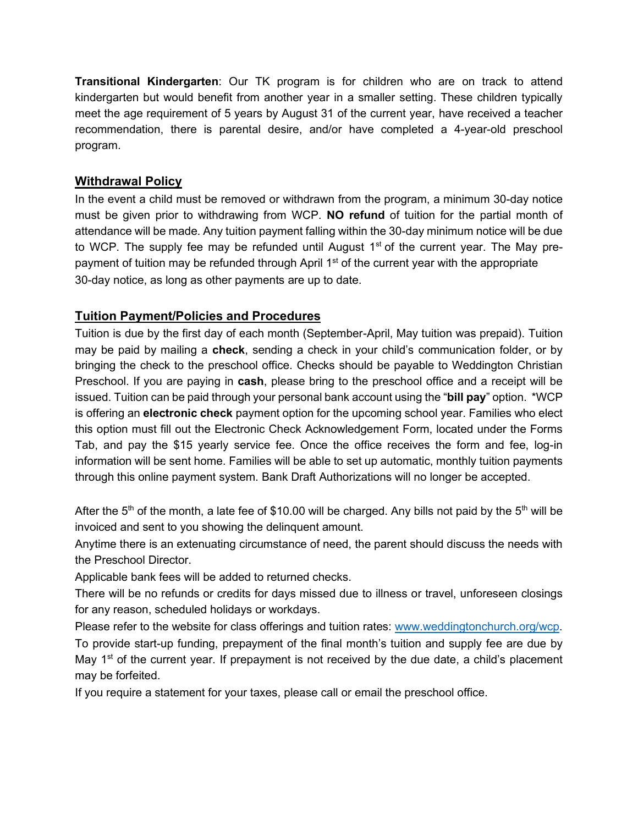**Transitional Kindergarten**: Our TK program is for children who are on track to attend kindergarten but would benefit from another year in a smaller setting. These children typically meet the age requirement of 5 years by August 31 of the current year, have received a teacher recommendation, there is parental desire, and/or have completed a 4-year-old preschool program.

#### **Withdrawal Policy**

In the event a child must be removed or withdrawn from the program, a minimum 30-day notice must be given prior to withdrawing from WCP. **NO refund** of tuition for the partial month of attendance will be made. Any tuition payment falling within the 30-day minimum notice will be due to WCP. The supply fee may be refunded until August  $1<sup>st</sup>$  of the current year. The May prepayment of tuition may be refunded through April 1<sup>st</sup> of the current year with the appropriate 30-day notice, as long as other payments are up to date.

#### **Tuition Payment/Policies and Procedures**

Tuition is due by the first day of each month (September-April, May tuition was prepaid). Tuition may be paid by mailing a **check**, sending a check in your child's communication folder, or by bringing the check to the preschool office. Checks should be payable to Weddington Christian Preschool. If you are paying in **cash**, please bring to the preschool office and a receipt will be issued. Tuition can be paid through your personal bank account using the "**bill pay**" option. \*WCP is offering an **electronic check** payment option for the upcoming school year. Families who elect this option must fill out the Electronic Check Acknowledgement Form, located under the Forms Tab, and pay the \$15 yearly service fee. Once the office receives the form and fee, log-in information will be sent home. Families will be able to set up automatic, monthly tuition payments through this online payment system. Bank Draft Authorizations will no longer be accepted.

After the 5<sup>th</sup> of the month, a late fee of \$10.00 will be charged. Any bills not paid by the 5<sup>th</sup> will be invoiced and sent to you showing the delinquent amount.

Anytime there is an extenuating circumstance of need, the parent should discuss the needs with the Preschool Director.

Applicable bank fees will be added to returned checks.

There will be no refunds or credits for days missed due to illness or travel, unforeseen closings for any reason, scheduled holidays or workdays.

Please refer to the website for class offerings and tuition rates: [www.weddingtonchurch.org/wcp.](http://www.weddingtonchurch.org/wcp) To provide start-up funding, prepayment of the final month's tuition and supply fee are due by May  $1<sup>st</sup>$  of the current year. If prepayment is not received by the due date, a child's placement may be forfeited.

If you require a statement for your taxes, please call or email the preschool office.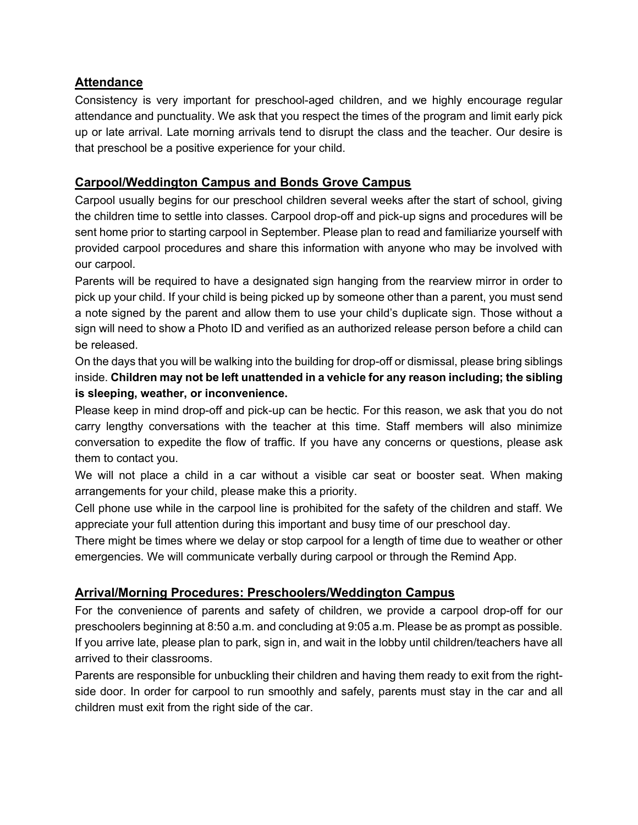#### **Attendance**

Consistency is very important for preschool-aged children, and we highly encourage regular attendance and punctuality. We ask that you respect the times of the program and limit early pick up or late arrival. Late morning arrivals tend to disrupt the class and the teacher. Our desire is that preschool be a positive experience for your child.

#### **Carpool/Weddington Campus and Bonds Grove Campus**

Carpool usually begins for our preschool children several weeks after the start of school, giving the children time to settle into classes. Carpool drop-off and pick-up signs and procedures will be sent home prior to starting carpool in September. Please plan to read and familiarize yourself with provided carpool procedures and share this information with anyone who may be involved with our carpool.

Parents will be required to have a designated sign hanging from the rearview mirror in order to pick up your child. If your child is being picked up by someone other than a parent, you must send a note signed by the parent and allow them to use your child's duplicate sign. Those without a sign will need to show a Photo ID and verified as an authorized release person before a child can be released.

On the days that you will be walking into the building for drop-off or dismissal, please bring siblings inside. **Children may not be left unattended in a vehicle for any reason including; the sibling is sleeping, weather, or inconvenience.**

Please keep in mind drop-off and pick-up can be hectic. For this reason, we ask that you do not carry lengthy conversations with the teacher at this time. Staff members will also minimize conversation to expedite the flow of traffic. If you have any concerns or questions, please ask them to contact you.

We will not place a child in a car without a visible car seat or booster seat. When making arrangements for your child, please make this a priority.

Cell phone use while in the carpool line is prohibited for the safety of the children and staff. We appreciate your full attention during this important and busy time of our preschool day.

There might be times where we delay or stop carpool for a length of time due to weather or other emergencies. We will communicate verbally during carpool or through the Remind App.

#### **Arrival/Morning Procedures: Preschoolers/Weddington Campus**

For the convenience of parents and safety of children, we provide a carpool drop-off for our preschoolers beginning at 8:50 a.m. and concluding at 9:05 a.m. Please be as prompt as possible. If you arrive late, please plan to park, sign in, and wait in the lobby until children/teachers have all arrived to their classrooms.

Parents are responsible for unbuckling their children and having them ready to exit from the rightside door. In order for carpool to run smoothly and safely, parents must stay in the car and all children must exit from the right side of the car.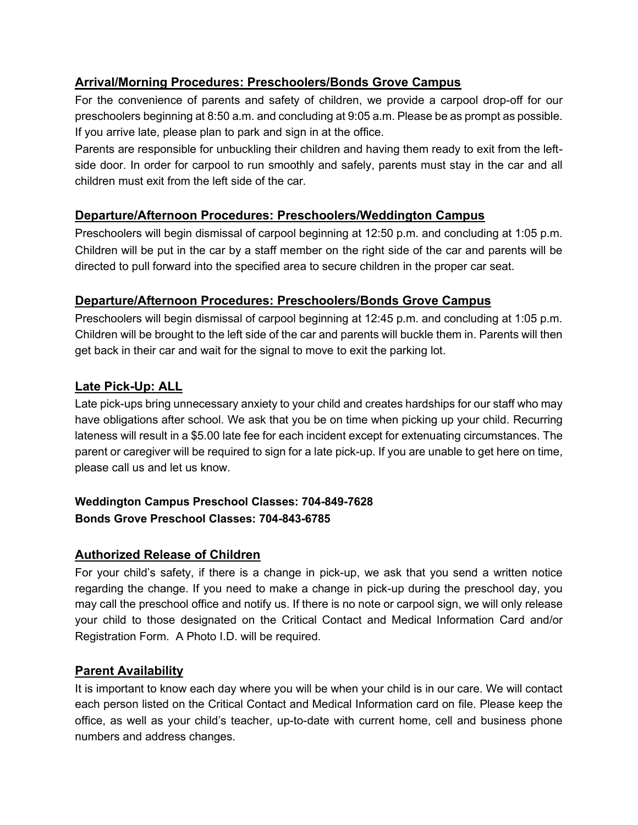#### **Arrival/Morning Procedures: Preschoolers/Bonds Grove Campus**

For the convenience of parents and safety of children, we provide a carpool drop-off for our preschoolers beginning at 8:50 a.m. and concluding at 9:05 a.m. Please be as prompt as possible. If you arrive late, please plan to park and sign in at the office.

Parents are responsible for unbuckling their children and having them ready to exit from the leftside door. In order for carpool to run smoothly and safely, parents must stay in the car and all children must exit from the left side of the car.

#### **Departure/Afternoon Procedures: Preschoolers/Weddington Campus**

Preschoolers will begin dismissal of carpool beginning at 12:50 p.m. and concluding at 1:05 p.m. Children will be put in the car by a staff member on the right side of the car and parents will be directed to pull forward into the specified area to secure children in the proper car seat.

#### **Departure/Afternoon Procedures: Preschoolers/Bonds Grove Campus**

Preschoolers will begin dismissal of carpool beginning at 12:45 p.m. and concluding at 1:05 p.m. Children will be brought to the left side of the car and parents will buckle them in. Parents will then get back in their car and wait for the signal to move to exit the parking lot.

#### **Late Pick-Up: ALL**

Late pick-ups bring unnecessary anxiety to your child and creates hardships for our staff who may have obligations after school. We ask that you be on time when picking up your child. Recurring lateness will result in a \$5.00 late fee for each incident except for extenuating circumstances. The parent or caregiver will be required to sign for a late pick-up. If you are unable to get here on time, please call us and let us know.

#### **Weddington Campus Preschool Classes: 704-849-7628 Bonds Grove Preschool Classes: 704-843-6785**

#### **Authorized Release of Children**

For your child's safety, if there is a change in pick-up, we ask that you send a written notice regarding the change. If you need to make a change in pick-up during the preschool day, you may call the preschool office and notify us. If there is no note or carpool sign, we will only release your child to those designated on the Critical Contact and Medical Information Card and/or Registration Form. A Photo I.D. will be required.

#### **Parent Availability**

It is important to know each day where you will be when your child is in our care. We will contact each person listed on the Critical Contact and Medical Information card on file. Please keep the office, as well as your child's teacher, up-to-date with current home, cell and business phone numbers and address changes.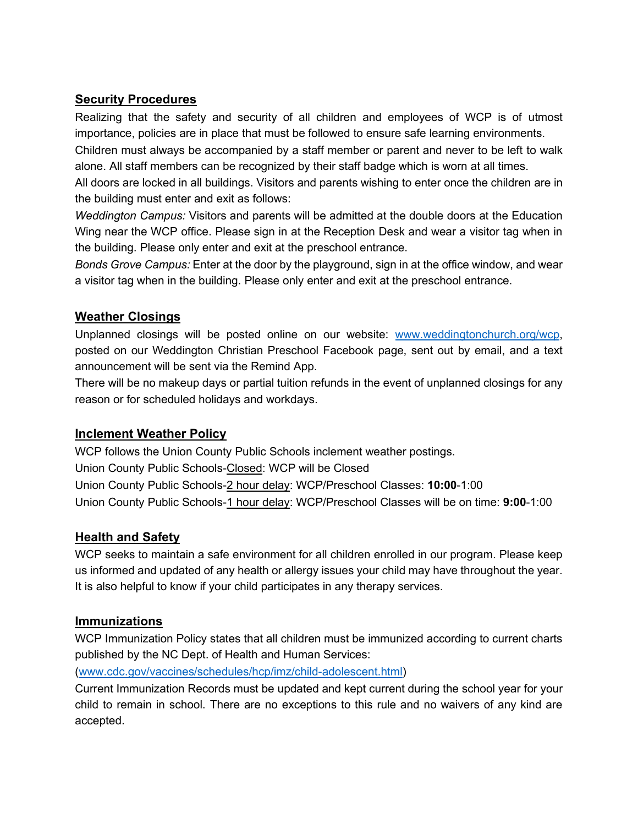#### **Security Procedures**

Realizing that the safety and security of all children and employees of WCP is of utmost importance, policies are in place that must be followed to ensure safe learning environments.

Children must always be accompanied by a staff member or parent and never to be left to walk alone. All staff members can be recognized by their staff badge which is worn at all times.

All doors are locked in all buildings. Visitors and parents wishing to enter once the children are in the building must enter and exit as follows:

*Weddington Campus:* Visitors and parents will be admitted at the double doors at the Education Wing near the WCP office. Please sign in at the Reception Desk and wear a visitor tag when in the building. Please only enter and exit at the preschool entrance.

*Bonds Grove Campus:* Enter at the door by the playground, sign in at the office window, and wear a visitor tag when in the building. Please only enter and exit at the preschool entrance.

#### **Weather Closings**

Unplanned closings will be posted online on our website: [www.weddingtonchurch.org/wcp,](http://www.weddingtonchurch.org/wcp) posted on our Weddington Christian Preschool Facebook page, sent out by email, and a text announcement will be sent via the Remind App.

There will be no makeup days or partial tuition refunds in the event of unplanned closings for any reason or for scheduled holidays and workdays.

#### **Inclement Weather Policy**

WCP follows the Union County Public Schools inclement weather postings. Union County Public Schools-Closed: WCP will be Closed Union County Public Schools-2 hour delay: WCP/Preschool Classes: **10:00**-1:00 Union County Public Schools-1 hour delay: WCP/Preschool Classes will be on time: **9:00**-1:00

#### **Health and Safety**

WCP seeks to maintain a safe environment for all children enrolled in our program. Please keep us informed and updated of any health or allergy issues your child may have throughout the year. It is also helpful to know if your child participates in any therapy services.

#### **Immunizations**

WCP Immunization Policy states that all children must be immunized according to current charts published by the NC Dept. of Health and Human Services:

[\(www.cdc.gov/vaccines/schedules/hcp/imz/child-adolescent.html\)](http://www.cdc.gov/vaccines/schedules/hcp/imz/child-adolescent.html)

Current Immunization Records must be updated and kept current during the school year for your child to remain in school. There are no exceptions to this rule and no waivers of any kind are accepted.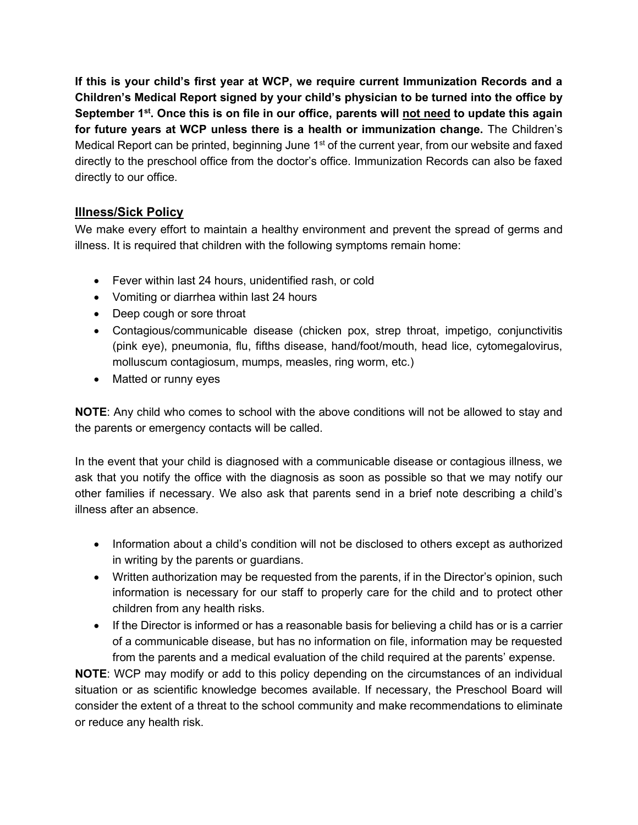**If this is your child's first year at WCP, we require current Immunization Records and a Children's Medical Report signed by your child's physician to be turned into the office by September 1st . Once this is on file in our office, parents will not need to update this again for future years at WCP unless there is a health or immunization change.** The Children's Medical Report can be printed, beginning June  $1<sup>st</sup>$  of the current year, from our website and faxed directly to the preschool office from the doctor's office. Immunization Records can also be faxed directly to our office.

#### **Illness/Sick Policy**

We make every effort to maintain a healthy environment and prevent the spread of germs and illness. It is required that children with the following symptoms remain home:

- Fever within last 24 hours, unidentified rash, or cold
- Vomiting or diarrhea within last 24 hours
- Deep cough or sore throat
- Contagious/communicable disease (chicken pox, strep throat, impetigo, conjunctivitis (pink eye), pneumonia, flu, fifths disease, hand/foot/mouth, head lice, cytomegalovirus, molluscum contagiosum, mumps, measles, ring worm, etc.)
- Matted or runny eyes

**NOTE**: Any child who comes to school with the above conditions will not be allowed to stay and the parents or emergency contacts will be called.

In the event that your child is diagnosed with a communicable disease or contagious illness, we ask that you notify the office with the diagnosis as soon as possible so that we may notify our other families if necessary. We also ask that parents send in a brief note describing a child's illness after an absence.

- Information about a child's condition will not be disclosed to others except as authorized in writing by the parents or guardians.
- Written authorization may be requested from the parents, if in the Director's opinion, such information is necessary for our staff to properly care for the child and to protect other children from any health risks.
- If the Director is informed or has a reasonable basis for believing a child has or is a carrier of a communicable disease, but has no information on file, information may be requested from the parents and a medical evaluation of the child required at the parents' expense.

**NOTE**: WCP may modify or add to this policy depending on the circumstances of an individual situation or as scientific knowledge becomes available. If necessary, the Preschool Board will consider the extent of a threat to the school community and make recommendations to eliminate or reduce any health risk.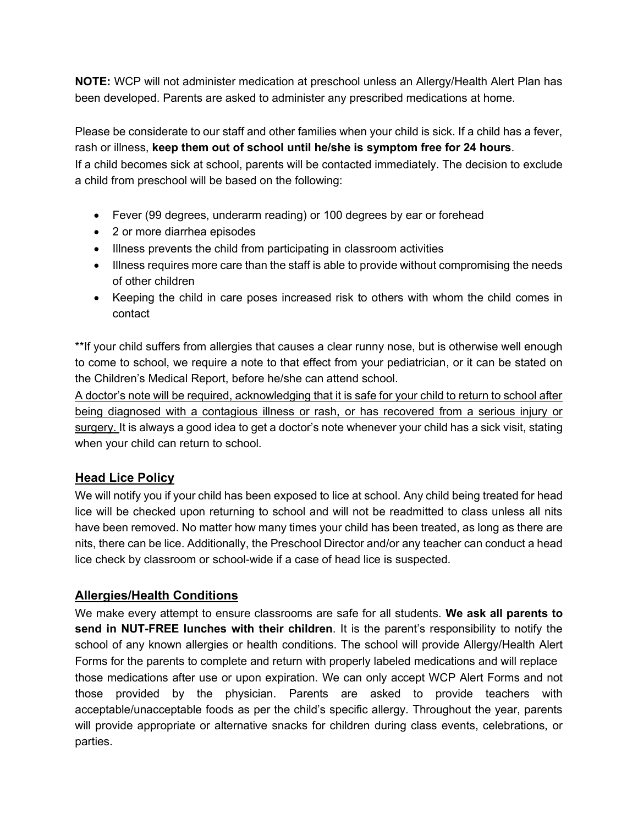**NOTE:** WCP will not administer medication at preschool unless an Allergy/Health Alert Plan has been developed. Parents are asked to administer any prescribed medications at home.

Please be considerate to our staff and other families when your child is sick. If a child has a fever, rash or illness, **keep them out of school until he/she is symptom free for 24 hours**.

If a child becomes sick at school, parents will be contacted immediately. The decision to exclude a child from preschool will be based on the following:

- Fever (99 degrees, underarm reading) or 100 degrees by ear or forehead
- 2 or more diarrhea episodes
- Illness prevents the child from participating in classroom activities
- Illness requires more care than the staff is able to provide without compromising the needs of other children
- Keeping the child in care poses increased risk to others with whom the child comes in contact

\*\*If your child suffers from allergies that causes a clear runny nose, but is otherwise well enough to come to school, we require a note to that effect from your pediatrician, or it can be stated on the Children's Medical Report, before he/she can attend school.

A doctor's note will be required, acknowledging that it is safe for your child to return to school after being diagnosed with a contagious illness or rash, or has recovered from a serious injury or surgery. It is always a good idea to get a doctor's note whenever your child has a sick visit, stating when your child can return to school.

#### **Head Lice Policy**

We will notify you if your child has been exposed to lice at school. Any child being treated for head lice will be checked upon returning to school and will not be readmitted to class unless all nits have been removed. No matter how many times your child has been treated, as long as there are nits, there can be lice. Additionally, the Preschool Director and/or any teacher can conduct a head lice check by classroom or school-wide if a case of head lice is suspected.

#### **Allergies/Health Conditions**

We make every attempt to ensure classrooms are safe for all students. **We ask all parents to send in NUT-FREE lunches with their children**. It is the parent's responsibility to notify the school of any known allergies or health conditions. The school will provide Allergy/Health Alert Forms for the parents to complete and return with properly labeled medications and will replace those medications after use or upon expiration. We can only accept WCP Alert Forms and not those provided by the physician. Parents are asked to provide teachers with acceptable/unacceptable foods as per the child's specific allergy. Throughout the year, parents will provide appropriate or alternative snacks for children during class events, celebrations, or parties.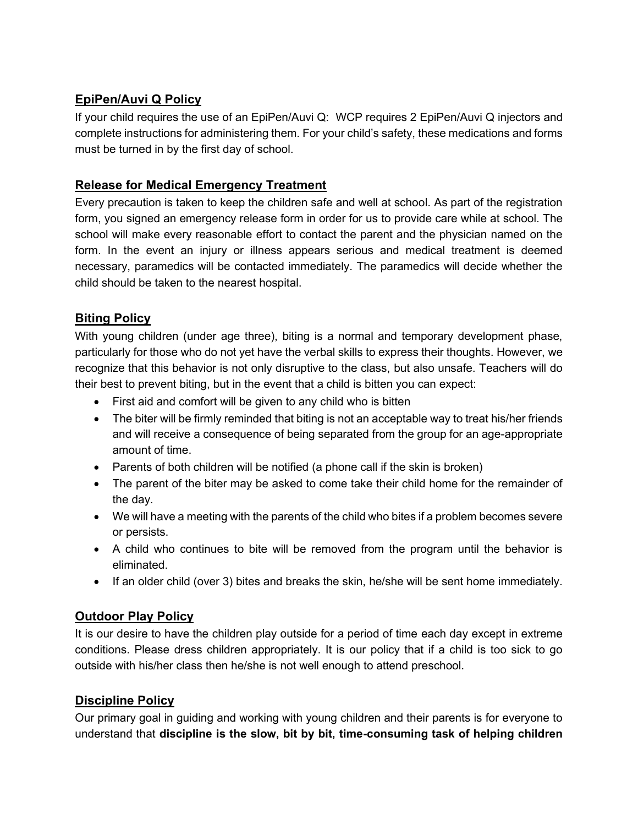### **EpiPen/Auvi Q Policy**

If your child requires the use of an EpiPen/Auvi Q: WCP requires 2 EpiPen/Auvi Q injectors and complete instructions for administering them. For your child's safety, these medications and forms must be turned in by the first day of school.

#### **Release for Medical Emergency Treatment**

Every precaution is taken to keep the children safe and well at school. As part of the registration form, you signed an emergency release form in order for us to provide care while at school. The school will make every reasonable effort to contact the parent and the physician named on the form. In the event an injury or illness appears serious and medical treatment is deemed necessary, paramedics will be contacted immediately. The paramedics will decide whether the child should be taken to the nearest hospital.

#### **Biting Policy**

With young children (under age three), biting is a normal and temporary development phase, particularly for those who do not yet have the verbal skills to express their thoughts. However, we recognize that this behavior is not only disruptive to the class, but also unsafe. Teachers will do their best to prevent biting, but in the event that a child is bitten you can expect:

- First aid and comfort will be given to any child who is bitten
- The biter will be firmly reminded that biting is not an acceptable way to treat his/her friends and will receive a consequence of being separated from the group for an age-appropriate amount of time.
- Parents of both children will be notified (a phone call if the skin is broken)
- The parent of the biter may be asked to come take their child home for the remainder of the day.
- We will have a meeting with the parents of the child who bites if a problem becomes severe or persists.
- A child who continues to bite will be removed from the program until the behavior is eliminated.
- If an older child (over 3) bites and breaks the skin, he/she will be sent home immediately.

#### **Outdoor Play Policy**

It is our desire to have the children play outside for a period of time each day except in extreme conditions. Please dress children appropriately. It is our policy that if a child is too sick to go outside with his/her class then he/she is not well enough to attend preschool.

### **Discipline Policy**

Our primary goal in guiding and working with young children and their parents is for everyone to understand that **discipline is the slow, bit by bit, time-consuming task of helping children**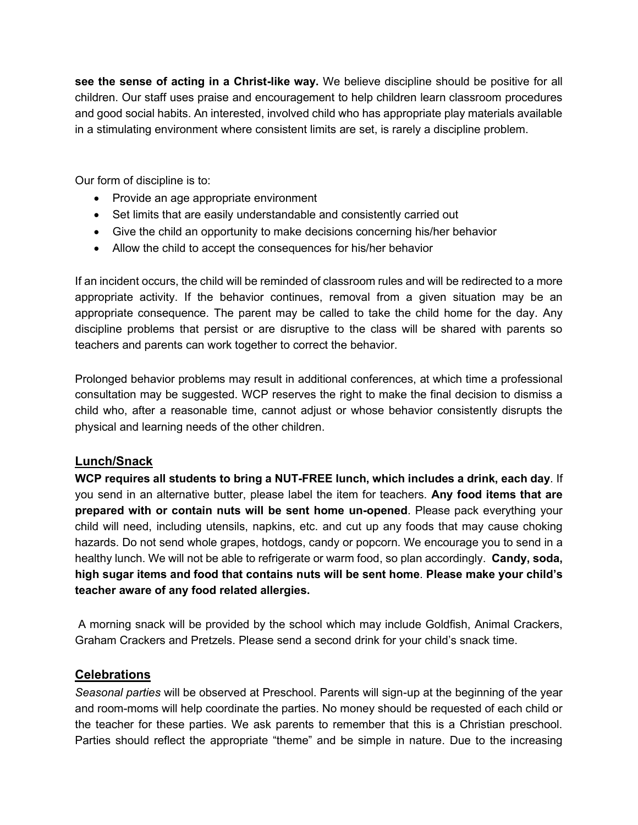**see the sense of acting in a Christ-like way.** We believe discipline should be positive for all children. Our staff uses praise and encouragement to help children learn classroom procedures and good social habits. An interested, involved child who has appropriate play materials available in a stimulating environment where consistent limits are set, is rarely a discipline problem.

Our form of discipline is to:

- Provide an age appropriate environment
- Set limits that are easily understandable and consistently carried out
- Give the child an opportunity to make decisions concerning his/her behavior
- Allow the child to accept the consequences for his/her behavior

If an incident occurs, the child will be reminded of classroom rules and will be redirected to a more appropriate activity. If the behavior continues, removal from a given situation may be an appropriate consequence. The parent may be called to take the child home for the day. Any discipline problems that persist or are disruptive to the class will be shared with parents so teachers and parents can work together to correct the behavior.

Prolonged behavior problems may result in additional conferences, at which time a professional consultation may be suggested. WCP reserves the right to make the final decision to dismiss a child who, after a reasonable time, cannot adjust or whose behavior consistently disrupts the physical and learning needs of the other children.

#### **Lunch/Snack**

**WCP requires all students to bring a NUT-FREE lunch, which includes a drink, each day**. If you send in an alternative butter, please label the item for teachers. **Any food items that are prepared with or contain nuts will be sent home un-opened**. Please pack everything your child will need, including utensils, napkins, etc. and cut up any foods that may cause choking hazards. Do not send whole grapes, hotdogs, candy or popcorn. We encourage you to send in a healthy lunch. We will not be able to refrigerate or warm food, so plan accordingly. **Candy, soda, high sugar items and food that contains nuts will be sent home**. **Please make your child's teacher aware of any food related allergies.**

A morning snack will be provided by the school which may include Goldfish, Animal Crackers, Graham Crackers and Pretzels. Please send a second drink for your child's snack time.

#### **Celebrations**

*Seasonal parties* will be observed at Preschool. Parents will sign-up at the beginning of the year and room-moms will help coordinate the parties. No money should be requested of each child or the teacher for these parties. We ask parents to remember that this is a Christian preschool. Parties should reflect the appropriate "theme" and be simple in nature. Due to the increasing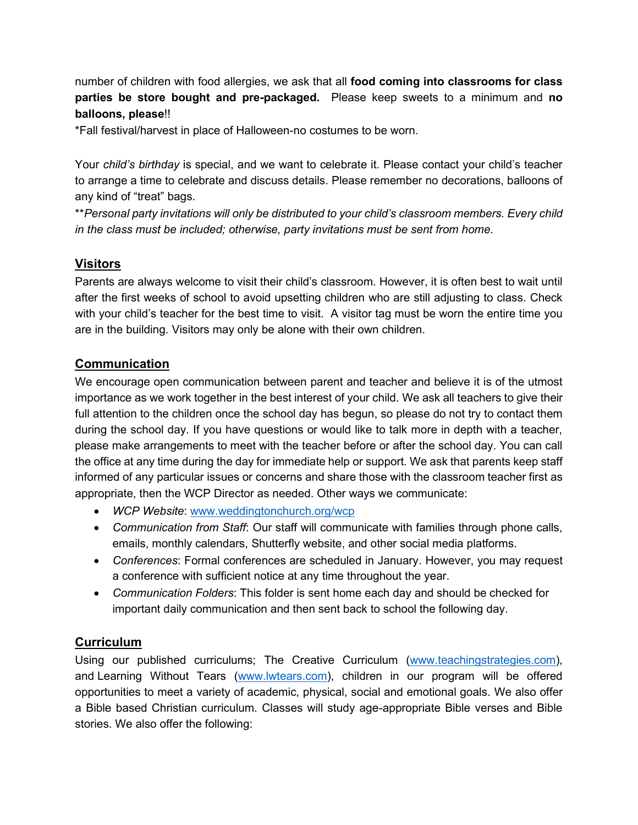number of children with food allergies, we ask that all **food coming into classrooms for class parties be store bought and pre-packaged.** Please keep sweets to a minimum and **no balloons, please**!!

\*Fall festival/harvest in place of Halloween-no costumes to be worn.

Your *child's birthday* is special, and we want to celebrate it. Please contact your child's teacher to arrange a time to celebrate and discuss details. Please remember no decorations, balloons of any kind of "treat" bags.

\*\**Personal party invitations will only be distributed to your child's classroom members. Every child in the class must be included; otherwise, party invitations must be sent from home.*

#### **Visitors**

Parents are always welcome to visit their child's classroom. However, it is often best to wait until after the first weeks of school to avoid upsetting children who are still adjusting to class. Check with your child's teacher for the best time to visit. A visitor tag must be worn the entire time you are in the building. Visitors may only be alone with their own children.

#### **Communication**

We encourage open communication between parent and teacher and believe it is of the utmost importance as we work together in the best interest of your child. We ask all teachers to give their full attention to the children once the school day has begun, so please do not try to contact them during the school day. If you have questions or would like to talk more in depth with a teacher, please make arrangements to meet with the teacher before or after the school day. You can call the office at any time during the day for immediate help or support. We ask that parents keep staff informed of any particular issues or concerns and share those with the classroom teacher first as appropriate, then the WCP Director as needed. Other ways we communicate:

- *WCP Website*: [www.weddingtonchurch.org/wcp](http://www.weddingtonchurch.org/wcp)
- *Communication from Staff*: Our staff will communicate with families through phone calls, emails, monthly calendars, Shutterfly website, and other social media platforms.
- *Conferences*: Formal conferences are scheduled in January. However, you may request a conference with sufficient notice at any time throughout the year.
- *Communication Folders*: This folder is sent home each day and should be checked for important daily communication and then sent back to school the following day.

#### **Curriculum**

Using our published curriculums; The Creative Curriculum [\(www.teachingstrategies.com\)](http://www.teachingstrategies.com/), and Learning Without Tears [\(www.lwtears.com\)](http://www.lwtears.com/), children in our program will be offered opportunities to meet a variety of academic, physical, social and emotional goals. We also offer a Bible based Christian curriculum. Classes will study age-appropriate Bible verses and Bible stories. We also offer the following: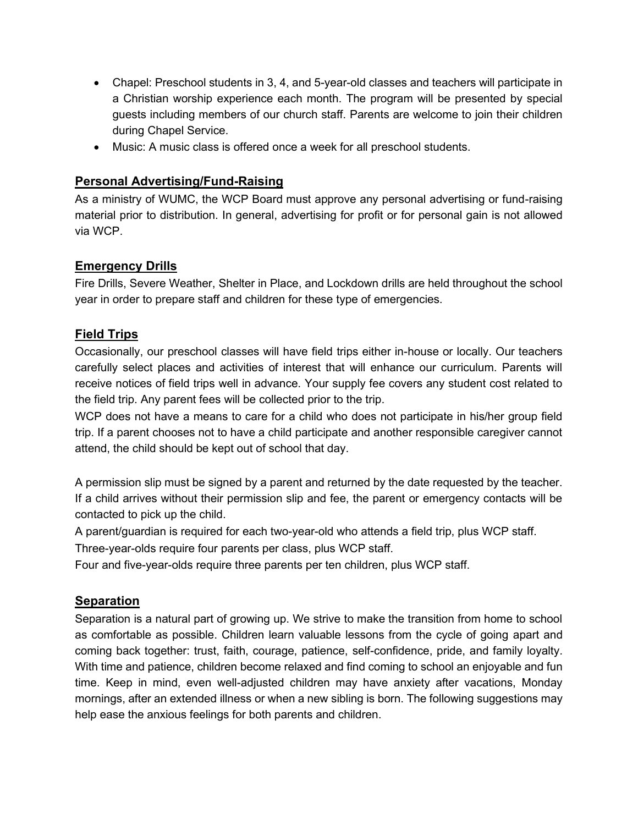- Chapel: Preschool students in 3, 4, and 5-year-old classes and teachers will participate in a Christian worship experience each month. The program will be presented by special guests including members of our church staff. Parents are welcome to join their children during Chapel Service.
- Music: A music class is offered once a week for all preschool students.

#### **Personal Advertising/Fund-Raising**

As a ministry of WUMC, the WCP Board must approve any personal advertising or fund-raising material prior to distribution. In general, advertising for profit or for personal gain is not allowed via WCP.

#### **Emergency Drills**

Fire Drills, Severe Weather, Shelter in Place, and Lockdown drills are held throughout the school year in order to prepare staff and children for these type of emergencies.

#### **Field Trips**

Occasionally, our preschool classes will have field trips either in-house or locally. Our teachers carefully select places and activities of interest that will enhance our curriculum. Parents will receive notices of field trips well in advance. Your supply fee covers any student cost related to the field trip. Any parent fees will be collected prior to the trip.

WCP does not have a means to care for a child who does not participate in his/her group field trip. If a parent chooses not to have a child participate and another responsible caregiver cannot attend, the child should be kept out of school that day.

A permission slip must be signed by a parent and returned by the date requested by the teacher. If a child arrives without their permission slip and fee, the parent or emergency contacts will be contacted to pick up the child.

A parent/guardian is required for each two-year-old who attends a field trip, plus WCP staff.

Three-year-olds require four parents per class, plus WCP staff.

Four and five-year-olds require three parents per ten children, plus WCP staff.

#### **Separation**

Separation is a natural part of growing up. We strive to make the transition from home to school as comfortable as possible. Children learn valuable lessons from the cycle of going apart and coming back together: trust, faith, courage, patience, self-confidence, pride, and family loyalty. With time and patience, children become relaxed and find coming to school an enjoyable and fun time. Keep in mind, even well-adjusted children may have anxiety after vacations, Monday mornings, after an extended illness or when a new sibling is born. The following suggestions may help ease the anxious feelings for both parents and children.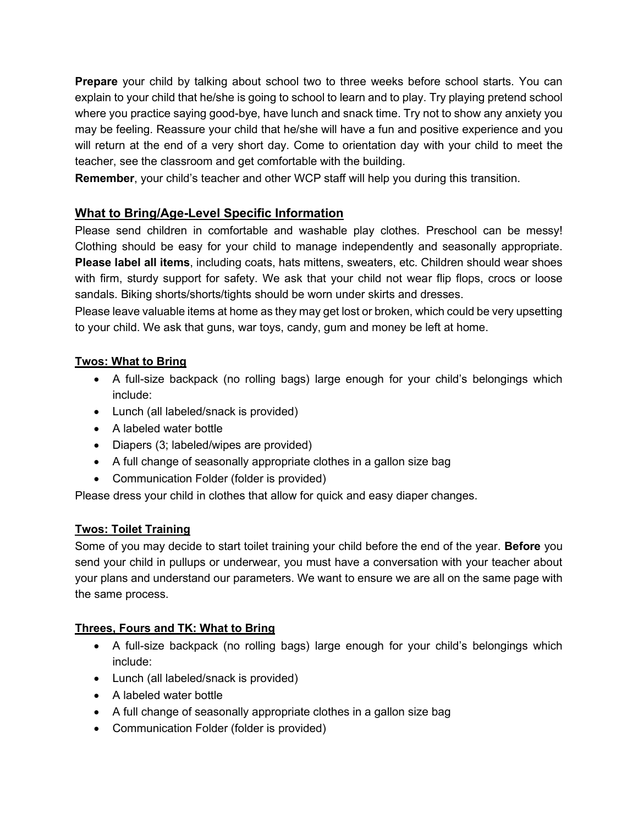**Prepare** your child by talking about school two to three weeks before school starts. You can explain to your child that he/she is going to school to learn and to play. Try playing pretend school where you practice saying good-bye, have lunch and snack time. Try not to show any anxiety you may be feeling. Reassure your child that he/she will have a fun and positive experience and you will return at the end of a very short day. Come to orientation day with your child to meet the teacher, see the classroom and get comfortable with the building.

**Remember**, your child's teacher and other WCP staff will help you during this transition.

#### **What to Bring/Age-Level Specific Information**

Please send children in comfortable and washable play clothes. Preschool can be messy! Clothing should be easy for your child to manage independently and seasonally appropriate. **Please label all items**, including coats, hats mittens, sweaters, etc. Children should wear shoes with firm, sturdy support for safety. We ask that your child not wear flip flops, crocs or loose sandals. Biking shorts/shorts/tights should be worn under skirts and dresses.

Please leave valuable items at home as they may get lost or broken, which could be very upsetting to your child. We ask that guns, war toys, candy, gum and money be left at home.

#### **Twos: What to Bring**

- A full-size backpack (no rolling bags) large enough for your child's belongings which include:
- Lunch (all labeled/snack is provided)
- A labeled water bottle
- Diapers (3; labeled/wipes are provided)
- A full change of seasonally appropriate clothes in a gallon size bag
- Communication Folder (folder is provided)

Please dress your child in clothes that allow for quick and easy diaper changes.

#### **Twos: Toilet Training**

Some of you may decide to start toilet training your child before the end of the year. **Before** you send your child in pullups or underwear, you must have a conversation with your teacher about your plans and understand our parameters. We want to ensure we are all on the same page with the same process.

#### **Threes, Fours and TK: What to Bring**

- A full-size backpack (no rolling bags) large enough for your child's belongings which include:
- Lunch (all labeled/snack is provided)
- A labeled water bottle
- A full change of seasonally appropriate clothes in a gallon size bag
- Communication Folder (folder is provided)